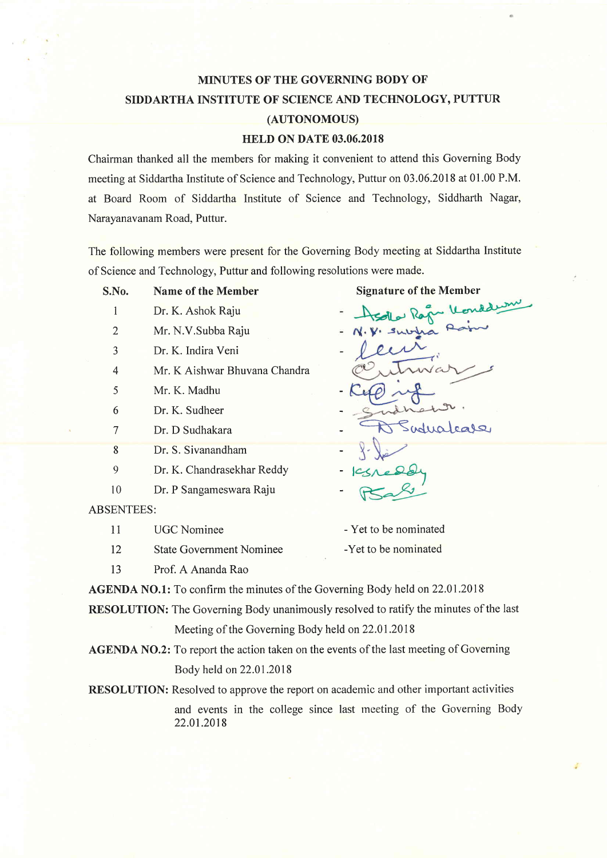# MINUTES OF THE GOVERNING BODY OF SIDDARTHA INSTITUTE OF SCIENCE AND TECHNOLOGY, PUTTUR (AUTONOMOUS)

#### HELD ON DATE 03.06.2018

Chairman thanked all the members for making it convenient to attend this Governing Body meeting at Siddartha Institute of Science and Technology, Puttur on 03.06.2018 at 01.00 P.M. at Board Room of Siddartha Institute of Science and Technology, Siddharth Nagar, Narayanavanam Road, Puttur.

The following members were present for the Governing Body meeting at Siddartha Institute of Science and Technology, Puttur and following resolutions were made.

- S.No. Name of the Member
	- I Dr. K. Ashok Raju
	- 2 Mr. N.V.Subba Raju
	- 3 Dr. K. Indira Veni
	- 4 Mr. K Aishwar Bhuvana Chandra
	- 5 Mr. K. Madhu
	- 6 Dr. K. Sudheer
	- 7 Dr. D Sudhakara
	- 8 Dr. S. Sivanandham
	- 9 Dr. K. Chandrasekhar Reddy
	- 10 Dr. P Sangameswara Raju
- ABSENTEES:
	- 11 UGC Nominee
	- 12 State Government Nominee

-Yet to be nominated

- Yet to be nominated

13 Prof. A Ananda Rao

AGENDA NO.1: To confirm the minutes of the Governing Body held on 22.01.2018

RESOLUTION: The Governing Body unanimously resolved to ratify the minutes of the last

Meeting of the Governing Body held on 22.01.2018

AGENDA NO.2: To report the action taken on the events of the last meeting of Governing Body held on22.01.2018

RESOLUTION: Resolved to approve the report on academic and other important activities and events in the college since last rneeting of the Governing Body 22.01.2018

Signature of the Member

 $\mathcal{R}$   $\sim$ subtra udualease I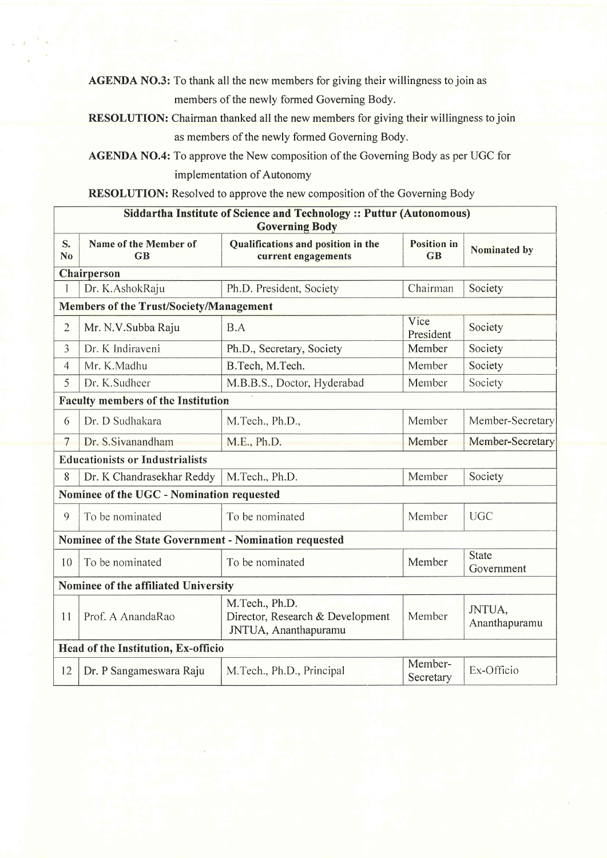AGENDA NO.3: To thank all the new members for giving their willingness to join as members of the newly formed Governing Body.

RESOLUTION: Chairman thanked all the new members for giving their willingness to join as members of the newly formed Governing Body.

AGENDA NO.4: To approve the New composition of the Governing Body as per UGC for implementation of Autonomy

RESOLUTION: Resolved to approve the new composition of the Governing Body

| <b>Siddartha Institute of Science and Technology:: Puttur (Autonomous)</b><br><b>Governing Body</b> |                             |                                                                            |                                 |                            |  |  |  |
|-----------------------------------------------------------------------------------------------------|-----------------------------|----------------------------------------------------------------------------|---------------------------------|----------------------------|--|--|--|
| S.<br>N <sub>o</sub>                                                                                | Name of the Member of<br>GB | Qualifications and position in the<br>current engagements                  | <b>Position</b> in<br><b>GB</b> | Nominated by               |  |  |  |
|                                                                                                     | Chairperson                 |                                                                            |                                 |                            |  |  |  |
| $\mathbf{1}$                                                                                        | Dr. K.AshokRaju             | Ph.D. President, Society                                                   | Chairman                        | Society                    |  |  |  |
| <b>Members of the Trust/Society/Management</b>                                                      |                             |                                                                            |                                 |                            |  |  |  |
| $\overline{2}$                                                                                      | Mr. N.V.Subba Raju          | B.A                                                                        | Vice<br>President               | Society                    |  |  |  |
| $\overline{3}$                                                                                      | Dr. K Indiraveni            | Ph.D., Secretary, Society                                                  | Member                          | Society                    |  |  |  |
| $\overline{4}$                                                                                      | Mr. K.Madhu                 | B.Tech, M.Tech.                                                            | Member                          | Society                    |  |  |  |
| 5                                                                                                   | Dr. K.Sudheer               | M.B.B.S., Doctor, Hyderabad                                                | Member                          | Society                    |  |  |  |
| <b>Faculty members of the Institution</b>                                                           |                             |                                                                            |                                 |                            |  |  |  |
| 6                                                                                                   | Dr. D Sudhakara             | M.Tech., Ph.D.,                                                            | Member                          | Member-Secretary           |  |  |  |
| $\overline{7}$                                                                                      | Dr. S.Sivanandham           | M.E., Ph.D.                                                                | Member                          | Member-Secretary           |  |  |  |
| <b>Educationists or Industrialists</b>                                                              |                             |                                                                            |                                 |                            |  |  |  |
| 8                                                                                                   | Dr. K Chandrasekhar Reddy   | M.Tech., Ph.D.                                                             | Member                          | Society                    |  |  |  |
| Nominee of the UGC - Nomination requested                                                           |                             |                                                                            |                                 |                            |  |  |  |
| 9                                                                                                   | To be nominated             | To be nominated                                                            | Member                          | <b>UGC</b>                 |  |  |  |
| Nominee of the State Government - Nomination requested                                              |                             |                                                                            |                                 |                            |  |  |  |
| 10                                                                                                  | To be nominated             | To be nominated                                                            | Member                          | <b>State</b><br>Government |  |  |  |
| Nominee of the affiliated University                                                                |                             |                                                                            |                                 |                            |  |  |  |
| 11                                                                                                  | Prof. A AnandaRao           | M.Tech., Ph.D.<br>Director, Research & Development<br>JNTUA, Ananthapuramu | Member                          | JNTUA,<br>Ananthapuramu    |  |  |  |
| Head of the Institution, Ex-officio                                                                 |                             |                                                                            |                                 |                            |  |  |  |
| 12                                                                                                  | Dr. P Sangameswara Raju     | M.Tech., Ph.D., Principal                                                  | Member-<br>Secretary            | Ex-Officio                 |  |  |  |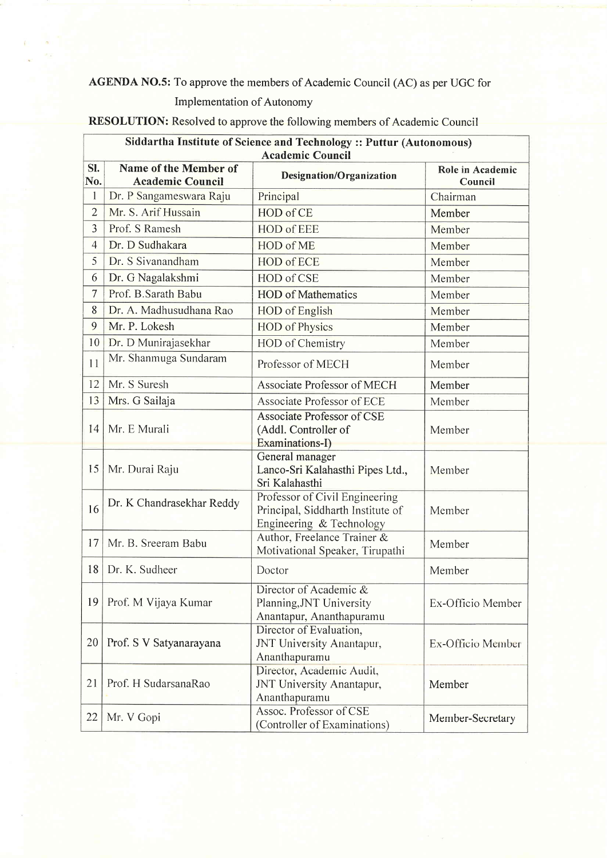### AGENDA NO.5: To approve the members of Academic Council (AC) as per UGC for

#### Implementation of Autonomy

## RESOLUTION: Resolved to approve the following members of Academic Council

| Siddartha Institute of Science and Technology :: Puttur (Autonomous)<br><b>Academic Council</b> |                                                  |                                                                                                 |                             |  |  |  |
|-------------------------------------------------------------------------------------------------|--------------------------------------------------|-------------------------------------------------------------------------------------------------|-----------------------------|--|--|--|
| SI.<br>No.                                                                                      | Name of the Member of<br><b>Academic Council</b> | <b>Designation/Organization</b>                                                                 | Role in Academic<br>Council |  |  |  |
| $\mathbf{1}$                                                                                    | Dr. P Sangameswara Raju                          | Principal                                                                                       | Chairman                    |  |  |  |
| $\overline{2}$                                                                                  | Mr. S. Arif Hussain                              | HOD of CE                                                                                       | Member                      |  |  |  |
| $\overline{3}$                                                                                  | Prof. S Ramesh                                   | <b>HOD of EEE</b>                                                                               | Member                      |  |  |  |
| $\overline{4}$                                                                                  | Dr. D Sudhakara                                  | HOD of ME                                                                                       | Member                      |  |  |  |
| 5                                                                                               | Dr. S Sivanandham                                | <b>HOD of ECE</b>                                                                               | Member                      |  |  |  |
| 6                                                                                               | Dr. G Nagalakshmi                                | HOD of CSE                                                                                      | Member                      |  |  |  |
| $\tau$                                                                                          | Prof. B.Sarath Babu                              | <b>HOD</b> of Mathematics                                                                       | Member                      |  |  |  |
| 8                                                                                               | Dr. A. Madhusudhana Rao                          | <b>HOD</b> of English                                                                           | Member                      |  |  |  |
| 9                                                                                               | Mr. P. Lokesh                                    | <b>HOD</b> of Physics                                                                           | Member                      |  |  |  |
| 10                                                                                              | Dr. D Munirajasekhar                             | <b>HOD</b> of Chemistry                                                                         | Member                      |  |  |  |
| 11                                                                                              | Mr. Shanmuga Sundaram                            | Professor of MECH                                                                               | Member                      |  |  |  |
| 12                                                                                              | Mr. S Suresh                                     | Associate Professor of MECH                                                                     | Member                      |  |  |  |
| 13                                                                                              | Mrs. G Sailaja                                   | Associate Professor of ECE                                                                      | Member                      |  |  |  |
| 14                                                                                              | Mr. E Murali                                     | <b>Associate Professor of CSE</b><br>(Addl. Controller of<br>Examinations-I)                    | Member                      |  |  |  |
| 15                                                                                              | Mr. Durai Raju                                   | General manager<br>Lanco-Sri Kalahasthi Pipes Ltd.,<br>Sri Kalahasthi                           | Member                      |  |  |  |
| 16                                                                                              | Dr. K Chandrasekhar Reddy                        | Professor of Civil Engineering<br>Principal, Siddharth Institute of<br>Engineering & Technology | Member                      |  |  |  |
| 17                                                                                              | Mr. B. Sreeram Babu                              | Author, Freelance Trainer &<br>Motivational Speaker, Tirupathi                                  | Member                      |  |  |  |
| 18                                                                                              | Dr. K. Sudheer                                   | Doctor                                                                                          | Member                      |  |  |  |
| 19                                                                                              | Prof. M Vijaya Kumar                             | Director of Academic &<br>Planning, JNT University<br>Anantapur, Ananthapuramu                  | Ex-Officio Member           |  |  |  |
| 20                                                                                              | Prof. S V Satyanarayana                          | Director of Evaluation,<br>JNT University Anantapur,<br>Ananthapuramu                           | Ex-Officio Member           |  |  |  |
| 21                                                                                              | Prof. H SudarsanaRao                             | Director, Academic Audit,<br>JNT University Anantapur,<br>Ananthapuramu                         | Member                      |  |  |  |
| 22                                                                                              | Mr. V Gopi                                       | Assoc. Professor of CSE<br>(Controller of Examinations)                                         | Member-Secretary            |  |  |  |